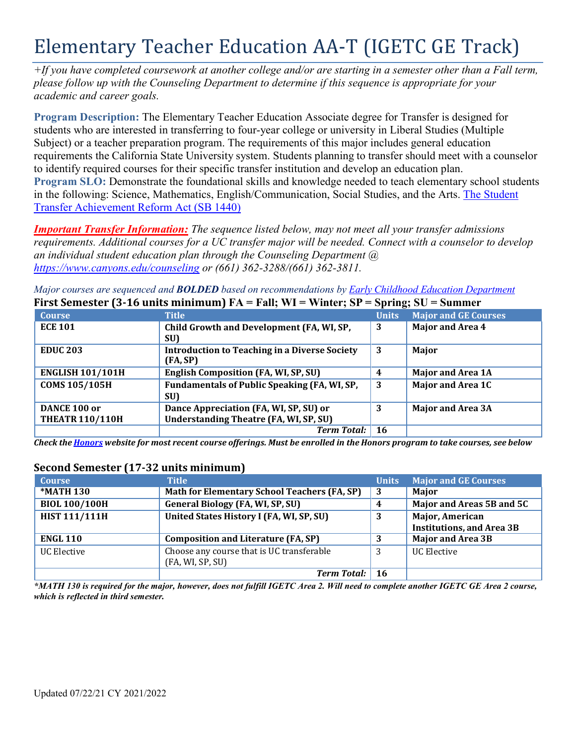# Elementary Teacher Education AA-T (IGETC GE Track)

*+If you have completed coursework at another college and/or are starting in a semester other than a Fall term, please follow up with the Counseling Department to determine if this sequence is appropriate for your academic and career goals.*

**Program Description:** The Elementary Teacher Education Associate degree for Transfer is designed for students who are interested in transferring to four-year college or university in Liberal Studies (Multiple Subject) or a teacher preparation program. The requirements of this major includes general education requirements the California State University system. Students planning to transfer should meet with a counselor to identify required courses for their specific transfer institution and develop an education plan. **Program SLO:** Demonstrate the foundational skills and knowledge needed to teach elementary school students in the following: Science, Mathematics, English/Communication, Social Studies, and the Arts. The Student Transfer Achievement Reform Act (SB 1440)

*Important Transfer Information: The sequence listed below, may not meet all your transfer admissions* requirements. Additional courses for a UC transfer major will be needed. Connect with a counselor to develop *an individual student education plan through the Counseling Department @ <https://www.canyons.edu/counseling> or (661) 362-3288/(661) 362-3811.*

*Major courses are sequenced and BOLDED based on recommendations by Early Childhood Education Department* **First Semester (3-16 units minimum) FA = Fall; WI = Winter; SP = Spring; SU = Summer**

| THE COMMODIAL CONTROLLER CHANGE INTO THE TAIL, WE<br>$\mathbf{v}$ interval |                                                                  |              | $\cup$ pring, $\cup$<br>pummu |
|----------------------------------------------------------------------------|------------------------------------------------------------------|--------------|-------------------------------|
| <b>Course</b>                                                              | <b>Title</b>                                                     | <b>Units</b> | <b>Major and GE Courses</b>   |
| <b>ECE 101</b>                                                             | Child Growth and Development (FA, WI, SP,                        | 3            | <b>Major and Area 4</b>       |
|                                                                            | SU)                                                              |              |                               |
| <b>EDUC 203</b>                                                            | <b>Introduction to Teaching in a Diverse Society</b><br>(FA, SP) | 3            | Major                         |
| <b>ENGLISH 101/101H</b>                                                    | <b>English Composition (FA, WI, SP, SU)</b>                      | 4            | <b>Major and Area 1A</b>      |
| <b>COMS 105/105H</b>                                                       | Fundamentals of Public Speaking (FA, WI, SP,<br>SU)              | -3           | <b>Major and Area 1C</b>      |
| DANCE 100 or                                                               | Dance Appreciation (FA, WI, SP, SU) or                           | 3            | <b>Major and Area 3A</b>      |
| <b>THEATR 110/110H</b>                                                     | <b>Understanding Theatre (FA, WI, SP, SU)</b>                    |              |                               |
|                                                                            | <b>Term Total:</b>                                               | 16           |                               |

Check the Honors website for most recent course offerings. Must be enrolled in the Honors program to take courses, see below

#### **Second Semester (17-32 units minimum)**

| <b>Course</b>        | <b>Title</b>                                 | <b>Units</b> | <b>Major and GE Courses</b>      |
|----------------------|----------------------------------------------|--------------|----------------------------------|
| <b>*MATH 130</b>     | Math for Elementary School Teachers (FA, SP) | -3           | Major                            |
| <b>BIOL 100/100H</b> | <b>General Biology (FA, WI, SP, SU)</b>      | 4            | Major and Areas 5B and 5C        |
| <b>HIST 111/111H</b> | United States History I (FA, WI, SP, SU)     | 3            | <b>Major, American</b>           |
|                      |                                              |              | <b>Institutions, and Area 3B</b> |
| <b>ENGL 110</b>      | <b>Composition and Literature (FA, SP)</b>   |              | <b>Major and Area 3B</b>         |
| <b>UC Elective</b>   | Choose any course that is UC transferable    | 3            | <b>UC</b> Elective               |
|                      | (FA, WI, SP, SU)                             |              |                                  |
|                      | <b>Term Total:</b>                           | 16           |                                  |

*\*MATH 130 is required for the major, however, does not fulfill IGETC Area 2. Will need to complete another IGETC GE Area 2 course, which is reflected in third semester.*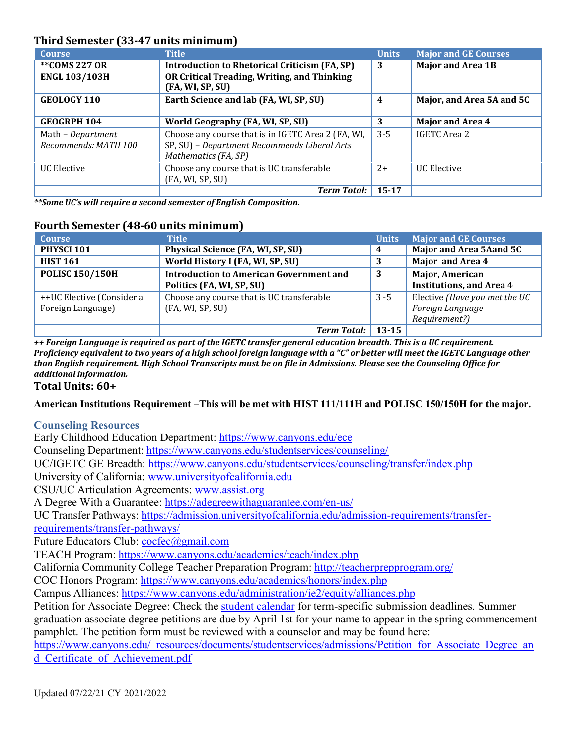## **Third Semester (33-47 units minimum)**

| <b>Course</b>                             | <b>Title</b>                                                                                                               | <b>Units</b> | <b>Major and GE Courses</b> |
|-------------------------------------------|----------------------------------------------------------------------------------------------------------------------------|--------------|-----------------------------|
| **COMS 227 OR                             | <b>Introduction to Rhetorical Criticism (FA, SP)</b>                                                                       | 3            | <b>Major and Area 1B</b>    |
| <b>ENGL 103/103H</b>                      | OR Critical Treading, Writing, and Thinking<br>(FA, WI, SP, SU)                                                            |              |                             |
| <b>GEOLOGY 110</b>                        | Earth Science and lab (FA, WI, SP, SU)                                                                                     | 4            | Major, and Area 5A and 5C   |
| <b>GEOGRPH 104</b>                        | World Geography (FA, WI, SP, SU)                                                                                           | 3            | <b>Major and Area 4</b>     |
| Math - Department<br>Recommends: MATH 100 | Choose any course that is in IGETC Area 2 (FA, WI,<br>SP, SU) - Department Recommends Liberal Arts<br>Mathematics (FA, SP) | $3 - 5$      | IGETC Area 2                |
| <b>UC Elective</b>                        | Choose any course that is UC transferable                                                                                  | $2+$         | UC Elective                 |
|                                           | (FA, WI, SP, SU)                                                                                                           |              |                             |
|                                           | <b>Term Total:</b>                                                                                                         | $15 - 17$    |                             |

*\*\*Some UC's will require a second semester of English Composition.*

#### **Fourth Semester (48-60 units minimum)**

| <b>Course</b>             | <b>Title</b>                                   | <b>Units</b> | <b>Major and GE Courses</b>     |
|---------------------------|------------------------------------------------|--------------|---------------------------------|
| PHYSCI 101                | Physical Science (FA, WI, SP, SU)              | 4            | Major and Area 5Aand 5C         |
| <b>HIST 161</b>           | World History I (FA, WI, SP, SU)               | 3            | Major and Area 4                |
| <b>POLISC 150/150H</b>    | <b>Introduction to American Government and</b> | 3            | <b>Major, American</b>          |
|                           | Politics (FA, WI, SP, SU)                      |              | <b>Institutions, and Area 4</b> |
| ++UC Elective (Consider a | Choose any course that is UC transferable      | $3 - 5$      | Elective (Have you met the UC   |
| Foreign Language)         | (FA, WI, SP, SU)                               |              | Foreign Language                |
|                           |                                                |              | Requirement?)                   |
|                           | <b>Term Total:</b>                             | $13 - 15$    |                                 |

*++ Foreign Language is required as part of the IGETC transfer general education breadth. This is a UC requirement.* Proficiency equivalent to two years of a high school foreign language with a "C" or better will meet the IGETC Language other *than English requirement. High School Transcripts must be on file in Admissions. Please see the Counseling Office for additional information.*

#### **Total Units: 60+**

**American Institutions Requirement –This will be met with HIST 111/111H and POLISC 150/150H for the major.**

#### **Counseling Resources**

Early Childhood Education Department:<https://www.canyons.edu/ece>

Counseling Department: [https://www.canyons.edu/studentservices/counseling/](https://www.canyons.edu/studentservices/counseling)

UC/IGETC GE Breadth:<https://www.canyons.edu/studentservices/counseling/transfer/index.php>

University of California: [www.universityofcalifornia.edu](http://www.universityofcalifornia.edu/)

CSU/UC Articulation Agreements: [www.assist.org](http://www.assist.org/)

A Degree With a Guarantee: [https://adegreewithaguarantee.com/en-us/](https://adegreewithaguarantee.com/en-us)

UC Transfer Pathways: <https://admission.universityofcalifornia.edu/admission-requirements/transfer>requirements/transfer-pathways/

Future Educators Club: [cocfec@gmail.com](mailto:cocfec@gmail.com)

TEACH Program: <https://www.canyons.edu/academics/teach/index.php>

California Community College Teacher Preparation Program: <http://teacherprepprogram.org/>

COC Honors Program: <https://www.canyons.edu/academics/honors/index.php>

Campus Alliances: <https://www.canyons.edu/administration/ie2/equity/alliances.php>

Petition for Associate Degree: Check the student calendar for term-specific submission deadlines. Summer graduation associate degree petitions are due by April 1st for your name to appear in the spring commencement pamphlet. The petition form must be reviewed with a counselor and may be found here:

[https://www.canyons.edu/\\_resources/documents/studentservices/admissions/Petition\\_for\\_Associate\\_Degree\\_an](https://www.canyons.edu/_resources/documents/studentservices/admissions/Petition_for_Associate_Degree_an) d\_Certificate\_of\_Achievement.pdf